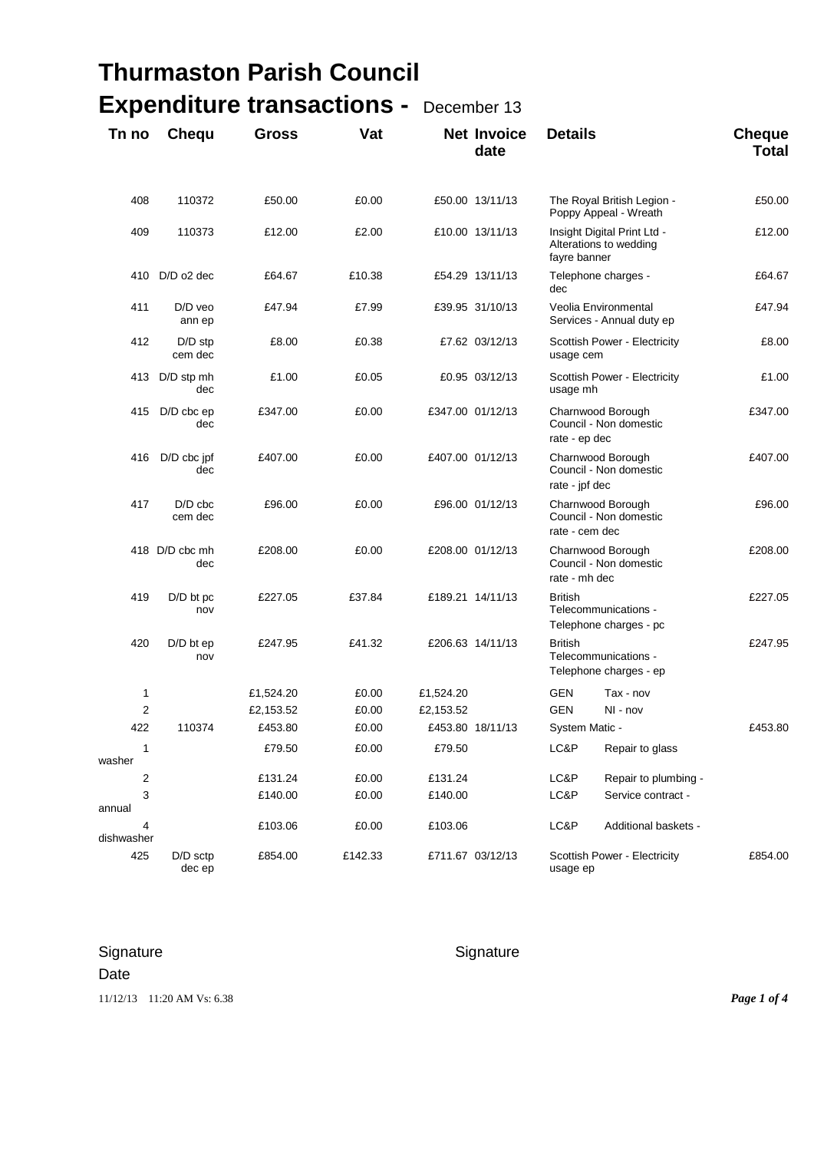## **Thurmaston Parish Council Expenditure transactions -** December 13

| Tn no                  | Chequ                 | <b>Gross</b> | Vat     |           | <b>Net Invoice</b><br>date | <b>Details</b>                                                   |                                                       | <b>Cheque</b><br><b>Total</b> |  |
|------------------------|-----------------------|--------------|---------|-----------|----------------------------|------------------------------------------------------------------|-------------------------------------------------------|-------------------------------|--|
| 408                    | 110372                | £50.00       | £0.00   |           | £50.00 13/11/13            | The Royal British Legion -<br>Poppy Appeal - Wreath              |                                                       | £50.00                        |  |
| 409                    | 110373                | £12.00       | £2.00   |           | £10.00 13/11/13            | fayre banner                                                     | Insight Digital Print Ltd -<br>Alterations to wedding | £12.00                        |  |
| 410                    | $D/D$ o2 dec          | £64.67       | £10.38  |           | £54.29 13/11/13            | dec                                                              | Telephone charges -                                   | £64.67                        |  |
| 411                    | D/D veo<br>ann ep     | £47.94       | £7.99   |           | £39.95 31/10/13            |                                                                  | Veolia Environmental<br>Services - Annual duty ep     | £47.94                        |  |
| 412                    | $D/D$ stp<br>cem dec  | £8.00        | £0.38   |           | £7.62 03/12/13             | usage cem                                                        | Scottish Power - Electricity                          | £8.00                         |  |
| 413                    | D/D stp mh<br>dec     | £1.00        | £0.05   |           | £0.95 03/12/13             | usage mh                                                         | Scottish Power - Electricity                          | £1.00                         |  |
| 415                    | $D/D$ cbc $ep$<br>dec | £347.00      | £0.00   |           | £347.00 01/12/13           | Charnwood Borough<br>Council - Non domestic<br>rate - ep dec     |                                                       | £347.00                       |  |
| 416                    | D/D cbc jpf<br>dec    | £407.00      | £0.00   |           | £407.00 01/12/13           | Charnwood Borough<br>Council - Non domestic<br>rate - jpf dec    |                                                       | £407.00                       |  |
| 417                    | $D/D$ cbc<br>cem dec  | £96.00       | £0.00   |           | £96.00 01/12/13            | Charnwood Borough<br>Council - Non domestic<br>rate - cem dec    |                                                       | £96.00                        |  |
|                        | 418 D/D cbc mh<br>dec | £208.00      | £0.00   |           | £208.00 01/12/13           | Charnwood Borough<br>Council - Non domestic<br>rate - mh dec     |                                                       | £208.00                       |  |
| 419                    | $D/D$ bt pc<br>nov    | £227.05      | £37.84  |           | £189.21 14/11/13           | <b>British</b><br>Telecommunications -<br>Telephone charges - pc |                                                       | £227.05                       |  |
| 420                    | $D/D$ bt ep<br>nov    | £247.95      | £41.32  |           | £206.63 14/11/13           | <b>British</b><br>Telecommunications -<br>Telephone charges - ep |                                                       | £247.95                       |  |
| 1                      |                       | £1,524.20    | £0.00   | £1,524.20 |                            | GEN                                                              | Tax - nov                                             |                               |  |
| $\overline{2}$         |                       | £2,153.52    | £0.00   | £2,153.52 |                            | <b>GEN</b>                                                       | NI - nov                                              |                               |  |
| 422                    | 110374                | £453.80      | £0.00   |           | £453.80 18/11/13           | System Matic -                                                   |                                                       | £453.80                       |  |
| $\mathbf{1}$<br>washer |                       | £79.50       | £0.00   | £79.50    |                            | LC&P                                                             | Repair to glass                                       |                               |  |
| 2                      |                       | £131.24      | £0.00   | £131.24   |                            | LC&P                                                             | Repair to plumbing -                                  |                               |  |
| 3<br>annual            |                       | £140.00      | £0.00   | £140.00   |                            | LC&P                                                             | Service contract -                                    |                               |  |
| 4<br>dishwasher        |                       | £103.06      | £0.00   | £103.06   |                            | LC&P                                                             | Additional baskets -                                  |                               |  |
| 425                    | D/D sctp<br>dec ep    | £854.00      | £142.33 |           | £711.67 03/12/13           | usage ep                                                         | Scottish Power - Electricity                          | £854.00                       |  |

## Signature Signature Signature Signature Date

11/12/13 11:20 AM Vs: 6.38 *Page 1 of 4*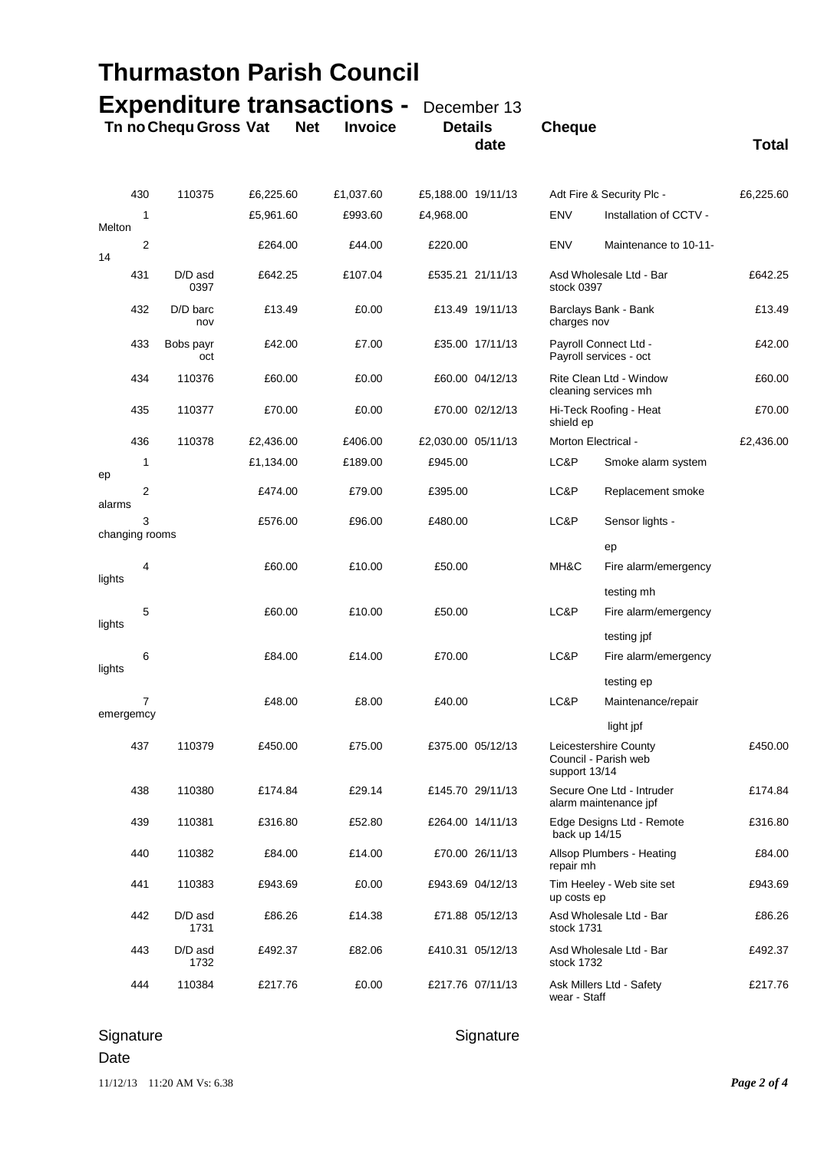| <b>Thurmaston Parish Council</b> |                     |                                                                        |           |            |                |                    |                  |                                                 |                                                    |              |  |
|----------------------------------|---------------------|------------------------------------------------------------------------|-----------|------------|----------------|--------------------|------------------|-------------------------------------------------|----------------------------------------------------|--------------|--|
|                                  |                     | <b>Expenditure transactions -</b> December 13<br>Tn no Chequ Gross Vat |           | <b>Net</b> | <b>Invoice</b> | <b>Details</b>     | date             | <b>Cheque</b>                                   |                                                    | <b>Total</b> |  |
|                                  | 430                 | 110375                                                                 | £6,225.60 |            | £1,037.60      | £5.188.00 19/11/13 |                  |                                                 | Adt Fire & Security Plc -                          | £6,225.60    |  |
| Melton                           | 1                   |                                                                        | £5,961.60 |            | £993.60        | £4,968.00          |                  | <b>ENV</b>                                      | Installation of CCTV -                             |              |  |
| 14                               | $\overline{2}$      |                                                                        | £264.00   |            | £44.00         | £220.00            |                  | <b>ENV</b>                                      | Maintenance to 10-11-                              |              |  |
|                                  | 431                 | D/D asd<br>0397                                                        | £642.25   |            | £107.04        |                    | £535.21 21/11/13 | Asd Wholesale Ltd - Bar<br>stock 0397           | £642.25                                            |              |  |
|                                  | 432                 | D/D barc<br>nov                                                        | £13.49    |            | £0.00          |                    | £13.49 19/11/13  | Barclays Bank - Bank<br>charges nov             |                                                    | £13.49       |  |
|                                  | 433                 | Bobs payr<br>oct                                                       | £42.00    |            | £7.00          |                    | £35.00 17/11/13  | Payroll Connect Ltd -<br>Payroll services - oct |                                                    | £42.00       |  |
|                                  | 434                 | 110376                                                                 | £60.00    |            | £0.00          |                    | £60.00 04/12/13  | Rite Clean Ltd - Window<br>cleaning services mh |                                                    | £60.00       |  |
|                                  | 435                 | 110377                                                                 | £70.00    |            | £0.00          |                    | £70.00 02/12/13  | Hi-Teck Roofing - Heat<br>shield ep             |                                                    | £70.00       |  |
|                                  | 436                 | 110378                                                                 | £2,436.00 |            | £406.00        | £2,030.00 05/11/13 |                  | Morton Electrical -                             |                                                    | £2,436.00    |  |
| ep                               | 1                   |                                                                        | £1,134.00 |            | £189.00        | £945.00            |                  | LC&P                                            | Smoke alarm system                                 |              |  |
| alarms                           | 2                   |                                                                        | £474.00   |            | £79.00         | £395.00            |                  | LC&P                                            | Replacement smoke                                  |              |  |
|                                  | 3<br>changing rooms |                                                                        | £576.00   |            | £96.00         | £480.00            |                  | LC&P                                            | Sensor lights -                                    |              |  |
|                                  |                     |                                                                        |           |            |                |                    |                  |                                                 | ep                                                 |              |  |
| lights                           | 4                   |                                                                        | £60.00    |            | £10.00         | £50.00             |                  | MH&C                                            | Fire alarm/emergency                               |              |  |
|                                  |                     |                                                                        |           |            |                |                    |                  |                                                 | testing mh                                         |              |  |
| lights                           | 5                   |                                                                        | £60.00    |            | £10.00         | £50.00             |                  | LC&P                                            | Fire alarm/emergency<br>testing jpf                |              |  |
|                                  | 6                   |                                                                        | £84.00    |            | £14.00         | £70.00             |                  | LC&P                                            | Fire alarm/emergency                               |              |  |
| lights                           |                     |                                                                        |           |            |                |                    |                  |                                                 | testing ep                                         |              |  |
|                                  | $\overline{7}$      |                                                                        | £48.00    |            | £8.00          | £40.00             |                  | LC&P                                            | Maintenance/repair                                 |              |  |
|                                  | emergemcy           |                                                                        |           |            |                |                    |                  |                                                 | light jpf                                          |              |  |
|                                  | 437                 | 110379                                                                 | £450.00   |            | £75.00         |                    | £375.00 05/12/13 | support 13/14                                   | Leicestershire County<br>Council - Parish web      | £450.00      |  |
|                                  | 438                 | 110380                                                                 | £174.84   |            | £29.14         |                    | £145.70 29/11/13 |                                                 | Secure One Ltd - Intruder<br>alarm maintenance jpf | £174.84      |  |
|                                  | 439                 | 110381                                                                 | £316.80   |            | £52.80         |                    | £264.00 14/11/13 | back up 14/15                                   | Edge Designs Ltd - Remote                          | £316.80      |  |
|                                  | 440                 | 110382                                                                 | £84.00    |            | £14.00         |                    | £70.00 26/11/13  | repair mh                                       | Allsop Plumbers - Heating                          | £84.00       |  |
|                                  | 441                 | 110383                                                                 | £943.69   |            | £0.00          |                    | £943.69 04/12/13 | up costs ep                                     | Tim Heeley - Web site set                          | £943.69      |  |
|                                  | 442                 | D/D asd<br>1731                                                        | £86.26    |            | £14.38         |                    | £71.88 05/12/13  | stock 1731                                      | Asd Wholesale Ltd - Bar                            | £86.26       |  |
|                                  | 443                 | D/D asd<br>1732                                                        | £492.37   |            | £82.06         |                    | £410.31 05/12/13 | stock 1732                                      | Asd Wholesale Ltd - Bar                            | £492.37      |  |
|                                  | 444                 | 110384                                                                 | £217.76   |            | £0.00          |                    | £217.76 07/11/13 | wear - Staff                                    | Ask Millers Ltd - Safety                           | £217.76      |  |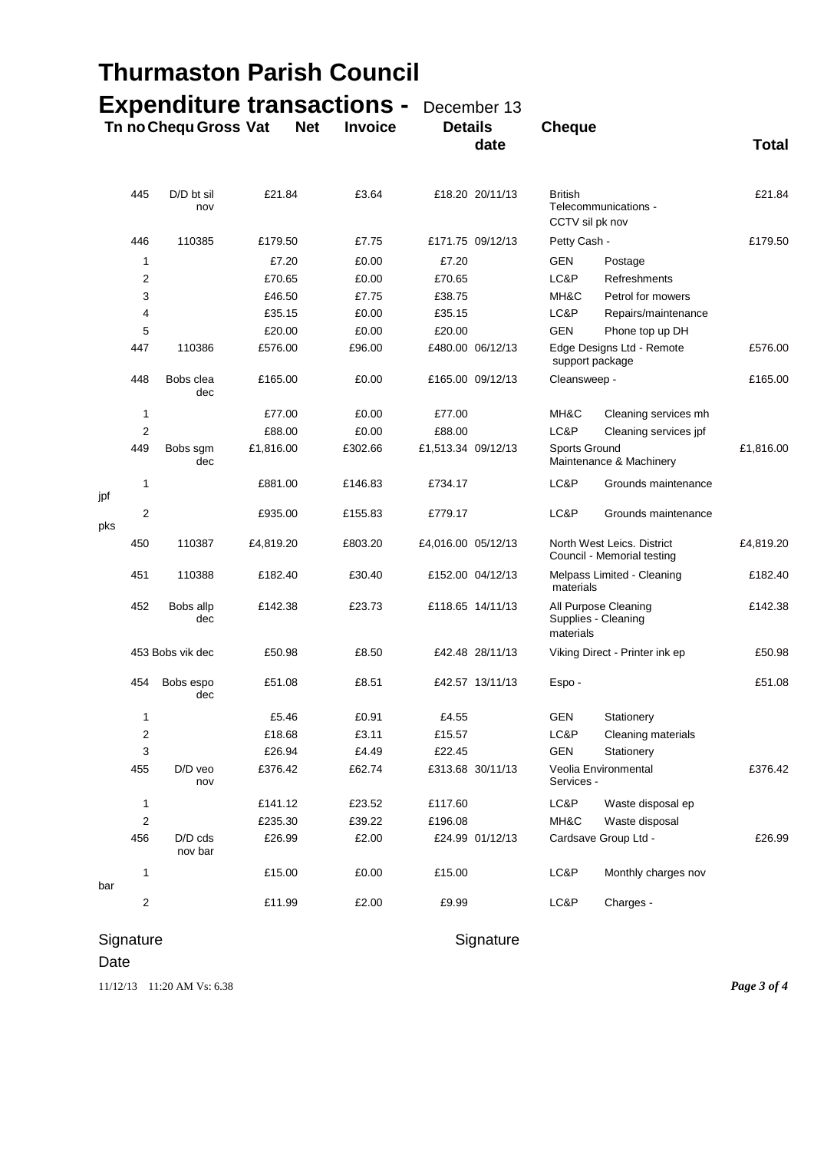|                                                                                            |                         | <b>Thurmaston Parish Council</b> |           |  |         |                               |                  |                                                          |                                             |              |
|--------------------------------------------------------------------------------------------|-------------------------|----------------------------------|-----------|--|---------|-------------------------------|------------------|----------------------------------------------------------|---------------------------------------------|--------------|
| <b>Expenditure transactions -</b><br>Tn no Chequ Gross Vat<br><b>Net</b><br><b>Invoice</b> |                         |                                  |           |  |         | December 13<br><b>Details</b> |                  | <b>Cheque</b>                                            |                                             |              |
|                                                                                            |                         |                                  |           |  |         |                               | date             |                                                          |                                             | <b>Total</b> |
|                                                                                            | 445                     | D/D bt sil<br>nov                | £21.84    |  | £3.64   |                               | £18.20 20/11/13  | <b>British</b><br>CCTV sil pk nov                        | Telecommunications -                        | £21.84       |
|                                                                                            | 446                     | 110385                           | £179.50   |  | £7.75   |                               | £171.75 09/12/13 | Petty Cash -                                             |                                             | £179.50      |
|                                                                                            | 1                       |                                  | £7.20     |  | £0.00   | £7.20                         |                  | <b>GEN</b>                                               | Postage                                     |              |
|                                                                                            | 2                       |                                  | £70.65    |  | £0.00   | £70.65                        |                  | LC&P                                                     | Refreshments                                |              |
|                                                                                            | 3                       |                                  | £46.50    |  | £7.75   | £38.75                        |                  | MH&C                                                     | Petrol for mowers                           |              |
|                                                                                            | 4                       |                                  | £35.15    |  | £0.00   | £35.15                        |                  | LC&P                                                     | Repairs/maintenance                         |              |
|                                                                                            | 5                       |                                  | £20.00    |  | £0.00   | £20.00                        |                  | <b>GEN</b>                                               | Phone top up DH                             |              |
|                                                                                            | 447                     | 110386                           | £576.00   |  | £96.00  |                               | £480.00 06/12/13 | Edge Designs Ltd - Remote<br>support package             |                                             | £576.00      |
|                                                                                            | 448                     | Bobs clea<br>dec                 | £165.00   |  | £0.00   |                               | £165.00 09/12/13 | Cleansweep -                                             |                                             | £165.00      |
|                                                                                            | 1                       |                                  | £77.00    |  | £0.00   | £77.00                        |                  | MH&C                                                     | Cleaning services mh                        |              |
|                                                                                            | 2                       |                                  | £88.00    |  | £0.00   | £88.00                        |                  | LC&P                                                     | Cleaning services jpf                       |              |
|                                                                                            | 449                     | Bobs sgm<br>dec                  | £1,816.00 |  | £302.66 | £1,513.34 09/12/13            |                  | Sports Ground                                            | Maintenance & Machinery                     | £1,816.00    |
| jpf                                                                                        | 1                       |                                  | £881.00   |  | £146.83 | £734.17                       |                  | LC&P                                                     | Grounds maintenance                         |              |
| pks                                                                                        | $\overline{2}$          |                                  | £935.00   |  | £155.83 | £779.17                       |                  | LC&P                                                     | Grounds maintenance                         |              |
|                                                                                            | 450                     | 110387                           | £4,819.20 |  | £803.20 | £4,016.00 05/12/13            |                  | North West Leics. District<br>Council - Memorial testing | £4,819.20                                   |              |
|                                                                                            | 451                     | 110388                           | £182.40   |  | £30.40  |                               | £152.00 04/12/13 | materials                                                | Melpass Limited - Cleaning                  | £182.40      |
|                                                                                            | 452                     | Bobs allp<br>dec                 | £142.38   |  | £23.73  |                               | £118.65 14/11/13 | materials                                                | All Purpose Cleaning<br>Supplies - Cleaning | £142.38      |
|                                                                                            |                         | 453 Bobs vik dec                 | £50.98    |  | £8.50   |                               | £42.48 28/11/13  |                                                          | Viking Direct - Printer ink ep              | £50.98       |
|                                                                                            | 454                     | Bobs espo<br>dec                 | £51.08    |  | £8.51   |                               | £42.57 13/11/13  | Espo-                                                    |                                             | £51.08       |
|                                                                                            | 1                       |                                  | £5.46     |  | £0.91   | £4.55                         |                  | GEN                                                      | Stationery                                  |              |
|                                                                                            | $\overline{\mathbf{c}}$ |                                  | £18.68    |  | £3.11   | £15.57                        |                  | LC&P                                                     | Cleaning materials                          |              |
|                                                                                            | 3                       |                                  | £26.94    |  | £4.49   | £22.45                        |                  | <b>GEN</b>                                               | Stationery                                  |              |
|                                                                                            | 455                     | D/D veo<br>nov                   | £376.42   |  | £62.74  |                               | £313.68 30/11/13 | Services -                                               | Veolia Environmental                        | £376.42      |
|                                                                                            | 1                       |                                  | £141.12   |  | £23.52  | £117.60                       |                  | LC&P                                                     | Waste disposal ep                           |              |
|                                                                                            | 2                       |                                  | £235.30   |  | £39.22  | £196.08                       |                  | MH&C                                                     | Waste disposal                              |              |
|                                                                                            | 456                     | $D/D$ cds<br>nov bar             | £26.99    |  | £2.00   |                               | £24.99 01/12/13  |                                                          | Cardsave Group Ltd -                        | £26.99       |
| bar                                                                                        | 1                       |                                  | £15.00    |  | £0.00   | £15.00                        |                  | LC&P                                                     | Monthly charges nov                         |              |
|                                                                                            | 2                       |                                  | £11.99    |  | £2.00   | £9.99                         |                  | LC&P                                                     | Charges -                                   |              |

## Signature **Signature** Signature

Date

11/12/13 11:20 AM Vs: 6.38 *Page 3 of 4*